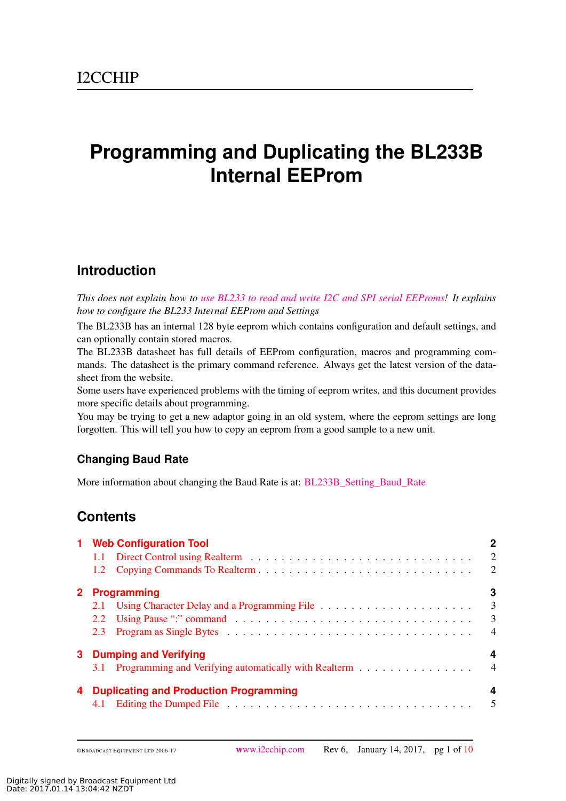# **Programming and Duplicating the BL233B Internal EEProm**

# **Introduction**

*This does not explain how to [use BL233 to read and write I2C and SPI serial EEProms!](http://www.i2cchip.com/pdfs/I2C_EEProm_Reading_and_Programming.pdf) It explains how to configure the BL233 Internal EEProm and Settings*

The BL233B has an internal 128 byte eeprom which contains configuration and default settings, and can optionally contain stored macros.

The BL233B datasheet has full details of EEProm configuration, macros and programming commands. The datasheet is the primary command reference. Always get the latest version of the datasheet from the website.

Some users have experienced problems with the timing of eeprom writes, and this document provides more specific details about programming.

You may be trying to get a new adaptor going in an old system, where the eeprom settings are long forgotten. This will tell you how to copy an eeprom from a good sample to a new unit.

## **Changing Baud Rate**

More information about changing the Baud Rate is at: [BL233B\\_Setting\\_Baud\\_Rate](http://www.i2cchip.com/pdfs/BL233B_Setting_Baud_Rate.pdf)

# **Contents**

|                | 1 Web Configuration Tool                                                                    | $\overline{2}$<br>$\overline{2}$                                          |
|----------------|---------------------------------------------------------------------------------------------|---------------------------------------------------------------------------|
| 2 <sup>1</sup> | <b>Programming</b><br>2.2                                                                   | З<br>$\overline{\mathbf{3}}$<br>$\overline{\mathbf{3}}$<br>$\overline{4}$ |
| 3              | <b>Dumping and Verifying</b><br>3.1 Programming and Verifying automatically with Realterm 4 | 4                                                                         |
|                | <b>Duplicating and Production Programming</b>                                               | 4                                                                         |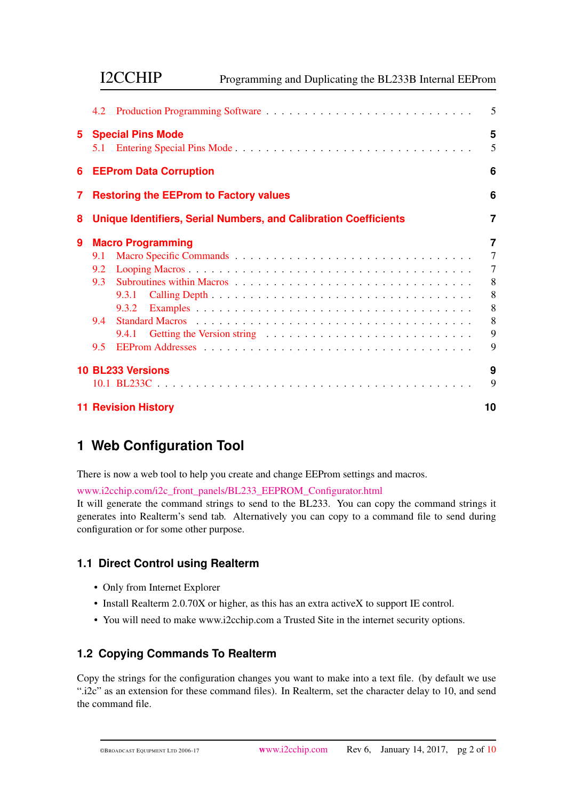|   | <b>I2CCHIP</b><br>Programming and Duplicating the BL233B Internal EEProm |                |
|---|--------------------------------------------------------------------------|----------------|
|   | 4.2                                                                      | 5              |
| 5 | <b>Special Pins Mode</b><br>5.1                                          | 5<br>5         |
| 6 | <b>EEProm Data Corruption</b>                                            | 6              |
| 7 | <b>Restoring the EEProm to Factory values</b>                            | 6              |
| 8 | <b>Unique Identifiers, Serial Numbers, and Calibration Coefficients</b>  | 7              |
| 9 | <b>Macro Programming</b>                                                 | $\overline{7}$ |
|   | 9.1                                                                      | $\overline{7}$ |
|   | 9.2                                                                      | $\overline{7}$ |
|   | 9.3                                                                      | 8              |
|   | 9.3.1                                                                    | 8              |
|   |                                                                          | 8              |
|   | 9.4                                                                      | 8              |
|   | 9.4.1                                                                    | 9              |
|   | 9.5                                                                      | 9              |
|   | 10 BL233 Versions                                                        | 9              |
|   |                                                                          | 9              |
|   | <b>11 Revision History</b>                                               | 10             |

# <span id="page-1-0"></span>**1 Web Configuration Tool**

There is now a web tool to help you create and change EEProm settings and macros.

[www.i2cchip.com/i2c\\_front\\_panels/BL233\\_EEPROM\\_Configurator.html](http://www.i2cchip.com/i2c_front_panels/BL233_EEPROM_Configurator.html)

It will generate the command strings to send to the BL233. You can copy the command strings it generates into Realterm's send tab. Alternatively you can copy to a command file to send during configuration or for some other purpose.

## <span id="page-1-1"></span>**1.1 Direct Control using Realterm**

- Only from Internet Explorer
- Install Realterm 2.0.70X or higher, as this has an extra activeX to support IE control.
- You will need to make www.i2cchip.com a Trusted Site in the internet security options.

## <span id="page-1-2"></span>**1.2 Copying Commands To Realterm**

Copy the strings for the configuration changes you want to make into a text file. (by default we use ".i2c" as an extension for these command files). In Realterm, set the character delay to 10, and send the command file.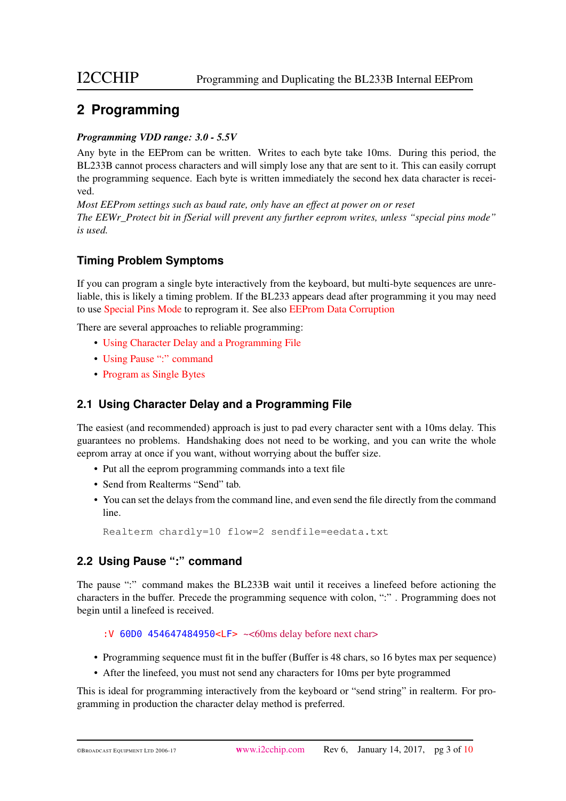# <span id="page-2-0"></span>**2 Programming**

#### *Programming VDD range: 3.0 - 5.5V*

Any byte in the EEProm can be written. Writes to each byte take 10ms. During this period, the BL233B cannot process characters and will simply lose any that are sent to it. This can easily corrupt the programming sequence. Each byte is written immediately the second hex data character is received.

*Most EEProm settings such as baud rate, only have an effect at power on or reset The EEWr\_Protect bit in fSerial will prevent any further eeprom writes, unless "special pins mode" is used.*

## **Timing Problem Symptoms**

If you can program a single byte interactively from the keyboard, but multi-byte sequences are unreliable, this is likely a timing problem. If the BL233 appears dead after programming it you may need to use [Special Pins Mode](#page-4-2) to reprogram it. See also [EEProm Data Corruption](#page-5-0)

There are several approaches to reliable programming:

- [Using Character Delay and a Programming File](#page-2-1)
- [Using Pause ":" command](#page-2-2)
- [Program as Single Bytes](#page-3-0)

## <span id="page-2-1"></span>**2.1 Using Character Delay and a Programming File**

The easiest (and recommended) approach is just to pad every character sent with a 10ms delay. This guarantees no problems. Handshaking does not need to be working, and you can write the whole eeprom array at once if you want, without worrying about the buffer size.

- Put all the eeprom programming commands into a text file
- Send from Realterms "Send" tab.
- You can set the delays from the command line, and even send the file directly from the command line.

Realterm chardly=10 flow=2 sendfile=eedata.txt

## <span id="page-2-2"></span>**2.2 Using Pause ":" command**

The pause ":" command makes the BL233B wait until it receives a linefeed before actioning the characters in the buffer. Precede the programming sequence with colon, ":" . Programming does not begin until a linefeed is received.

#### :V 60D0 454647484950<LF> ~<60ms delay before next char>

- Programming sequence must fit in the buffer (Buffer is 48 chars, so 16 bytes max per sequence)
- After the linefeed, you must not send any characters for 10ms per byte programmed

This is ideal for programming interactively from the keyboard or "send string" in realterm. For programming in production the character delay method is preferred.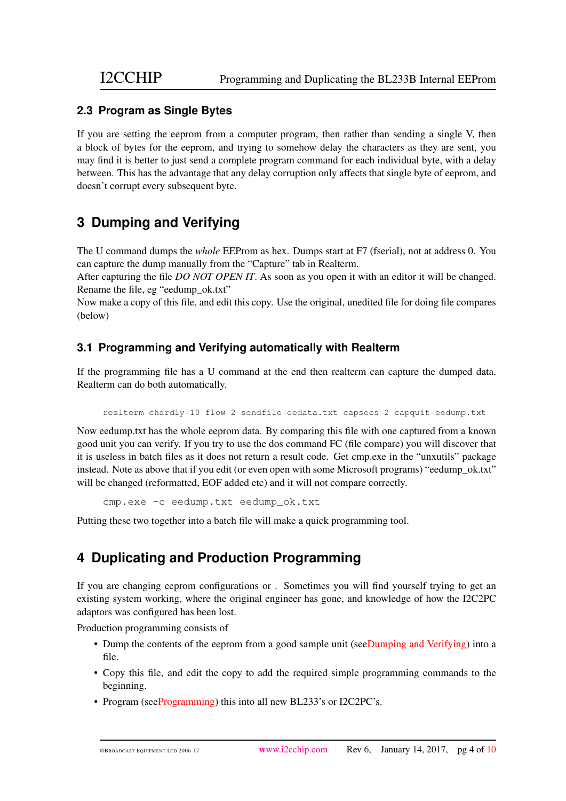#### <span id="page-3-0"></span>**2.3 Program as Single Bytes**

If you are setting the eeprom from a computer program, then rather than sending a single V, then a block of bytes for the eeprom, and trying to somehow delay the characters as they are sent, you may find it is better to just send a complete program command for each individual byte, with a delay between. This has the advantage that any delay corruption only affects that single byte of eeprom, and doesn't corrupt every subsequent byte.

# <span id="page-3-1"></span>**3 Dumping and Verifying**

The U command dumps the *whole* EEProm as hex. Dumps start at F7 (fserial), not at address 0. You can capture the dump manually from the "Capture" tab in Realterm.

After capturing the file *DO NOT OPEN IT*. As soon as you open it with an editor it will be changed. Rename the file, eg "eedump\_ok.txt"

Now make a copy of this file, and edit this copy. Use the original, unedited file for doing file compares (below)

## <span id="page-3-2"></span>**3.1 Programming and Verifying automatically with Realterm**

If the programming file has a U command at the end then realterm can capture the dumped data. Realterm can do both automatically.

realterm chardly=10 flow=2 sendfile=eedata.txt capsecs=2 capquit=eedump.txt

Now eedump.txt has the whole eeprom data. By comparing this file with one captured from a known good unit you can verify. If you try to use the dos command FC (file compare) you will discover that it is useless in batch files as it does not return a result code. Get cmp.exe in the "unxutils" package instead. Note as above that if you edit (or even open with some Microsoft programs) "eedump\_ok.txt" will be changed (reformatted, EOF added etc) and it will not compare correctly.

cmp.exe -c eedump.txt eedump\_ok.txt

Putting these two together into a batch file will make a quick programming tool.

# <span id="page-3-3"></span>**4 Duplicating and Production Programming**

If you are changing eeprom configurations or . Sometimes you will find yourself trying to get an existing system working, where the original engineer has gone, and knowledge of how the I2C2PC adaptors was configured has been lost.

Production programming consists of

- Dump the contents of the eeprom from a good sample unit (se[eDumping and Verifying\)](#page-3-1) into a file.
- Copy this file, and edit the copy to add the required simple programming commands to the beginning.
- Program (se[eProgramming\)](#page-2-0) this into all new BL233's or I2C2PC's.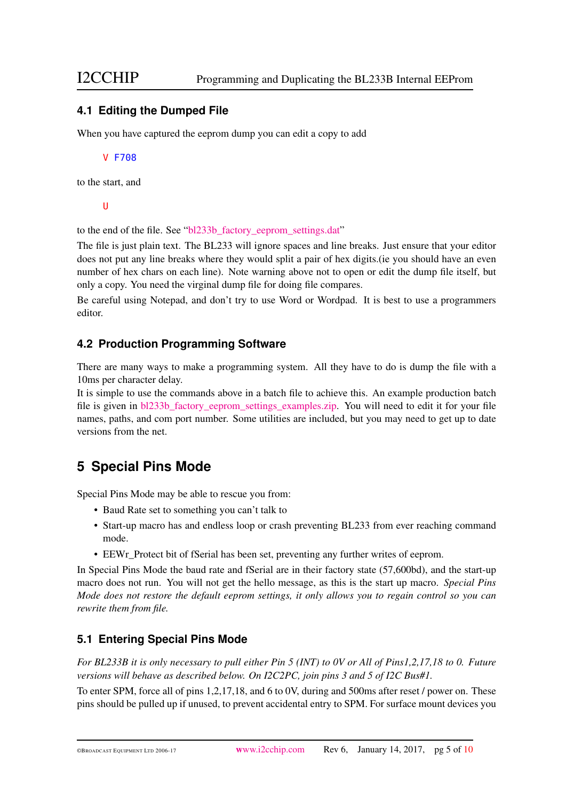#### <span id="page-4-0"></span>**4.1 Editing the Dumped File**

When you have captured the eeprom dump you can edit a copy to add

#### V F708

to the start, and

#### U

to the end of the file. See ["bl233b\\_factory\\_eeprom\\_settings.dat"](http://www.i2cchip.com/pdfs/bl233b_factory_eeprom_settings.dat)

The file is just plain text. The BL233 will ignore spaces and line breaks. Just ensure that your editor does not put any line breaks where they would split a pair of hex digits.(ie you should have an even number of hex chars on each line). Note warning above not to open or edit the dump file itself, but only a copy. You need the virginal dump file for doing file compares.

Be careful using Notepad, and don't try to use Word or Wordpad. It is best to use a programmers editor.

#### <span id="page-4-1"></span>**4.2 Production Programming Software**

There are many ways to make a programming system. All they have to do is dump the file with a 10ms per character delay.

It is simple to use the commands above in a batch file to achieve this. An example production batch file is given in [bl233b\\_factory\\_eeprom\\_settings\\_examples.zip.](http://www.i2cchip.com/pdfs/bl233b_factory_eeprom_settings_examples.zip) You will need to edit it for your file names, paths, and com port number. Some utilities are included, but you may need to get up to date versions from the net.

# <span id="page-4-2"></span>**5 Special Pins Mode**

Special Pins Mode may be able to rescue you from:

- Baud Rate set to something you can't talk to
- Start-up macro has and endless loop or crash preventing BL233 from ever reaching command mode.
- EEWr\_Protect bit of fSerial has been set, preventing any further writes of eeprom.

In Special Pins Mode the baud rate and fSerial are in their factory state (57,600bd), and the start-up macro does not run. You will not get the hello message, as this is the start up macro. *Special Pins Mode does not restore the default eeprom settings, it only allows you to regain control so you can rewrite them from file.*

## <span id="page-4-3"></span>**5.1 Entering Special Pins Mode**

*For BL233B it is only necessary to pull either Pin 5 (INT) to 0V or All of Pins1,2,17,18 to 0. Future versions will behave as described below. On I2C2PC, join pins 3 and 5 of I2C Bus#1.*

To enter SPM, force all of pins 1,2,17,18, and 6 to 0V, during and 500ms after reset / power on. These pins should be pulled up if unused, to prevent accidental entry to SPM. For surface mount devices you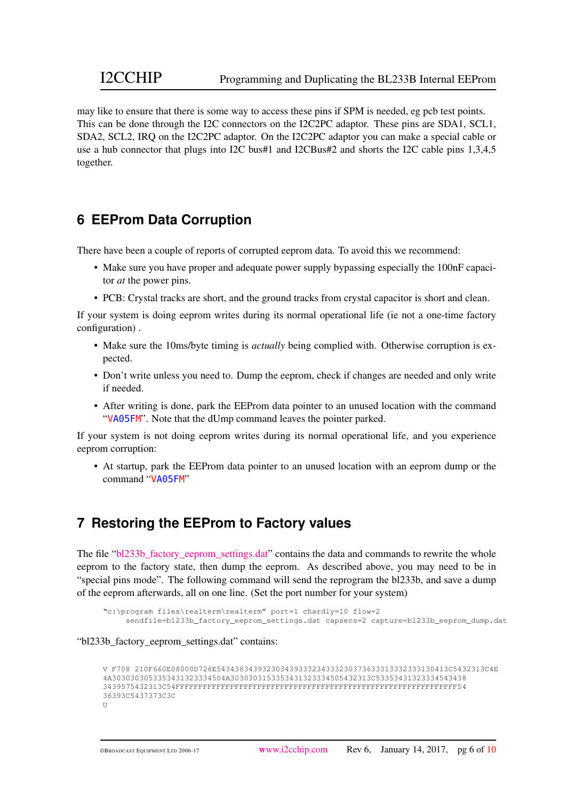may like to ensure that there is some way to access these pins if SPM is needed, eg pcb test points. This can be done through the I2C connectors on the I2C2PC adaptor. These pins are SDA1, SCL1, SDA2, SCL2, IRQ on the I2C2PC adaptor. On the I2C2PC adaptor you can make a special cable or use a hub connector that plugs into I2C bus#1 and I2CBus#2 and shorts the I2C cable pins 1,3,4,5 together.

# <span id="page-5-0"></span>**6 EEProm Data Corruption**

There have been a couple of reports of corrupted eeprom data. To avoid this we recommend:

- Make sure you have proper and adequate power supply bypassing especially the 100nF capacitor *at* the power pins.
- PCB: Crystal tracks are short, and the ground tracks from crystal capacitor is short and clean.

If your system is doing eeprom writes during its normal operational life (ie not a one-time factory configuration) .

- Make sure the 10ms/byte timing is *actually* being complied with. Otherwise corruption is expected.
- Don't write unless you need to. Dump the eeprom, check if changes are needed and only write if needed.
- After writing is done, park the EEProm data pointer to an unused location with the command "VA05FM". Note that the dUmp command leaves the pointer parked.

If your system is not doing eeprom writes during its normal operational life, and you experience eeprom corruption:

• At startup, park the EEProm data pointer to an unused location with an eeprom dump or the command "VA05FM"

## <span id="page-5-1"></span>**7 Restoring the EEProm to Factory values**

The file "bl233b factory eeprom settings.dat" contains the data and commands to rewrite the whole eeprom to the factory state, then dump the eeprom. As described above, you may need to be in "special pins mode". The following command will send the reprogram the bl233b, and save a dump of the eeprom afterwards, all on one line. (Set the port number for your system)

```
"c:\program files\realterm\realterm" port=1 chardly=10 flow=2
     sendfile=bl233b_factory_eeprom_settings.dat capsecs=2 capture=bl233b_eeprom_dump.dat
```
#### "bl233b\_factory\_eeprom\_settings.dat" contains:

```
V F708 210F660E08000D726E543438343932303439333234333230373633313332333130413C5432313C4E
4A3030303053353431323334504A3030303153353431323334505432313C53353431323334543438
3439575432313C54FFFFFFFFFFFFFFFFFFFFFFFFFFFFFFFFFFFFFFFFFFFFFFFFFFFFFFFFFFFFFF54
36393C5437373C3C
U
```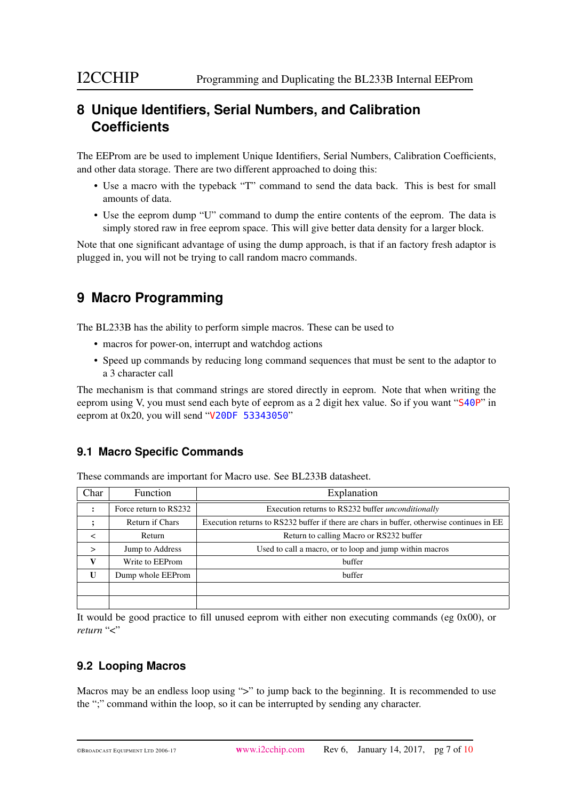# <span id="page-6-0"></span>**8 Unique Identifiers, Serial Numbers, and Calibration Coefficients**

The EEProm are be used to implement Unique Identifiers, Serial Numbers, Calibration Coefficients, and other data storage. There are two different approached to doing this:

- Use a macro with the typeback "T" command to send the data back. This is best for small amounts of data.
- Use the eeprom dump "U" command to dump the entire contents of the eeprom. The data is simply stored raw in free eeprom space. This will give better data density for a larger block.

Note that one significant advantage of using the dump approach, is that if an factory fresh adaptor is plugged in, you will not be trying to call random macro commands.

# <span id="page-6-1"></span>**9 Macro Programming**

The BL233B has the ability to perform simple macros. These can be used to

- macros for power-on, interrupt and watchdog actions
- Speed up commands by reducing long command sequences that must be sent to the adaptor to a 3 character call

The mechanism is that command strings are stored directly in eeprom. Note that when writing the eeprom using V, you must send each byte of eeprom as a 2 digit hex value. So if you want "S40P" in eeprom at 0x20, you will send "V20DF 53343050"

## <span id="page-6-2"></span>**9.1 Macro Specific Commands**

| Char                 | <b>Function</b>                                                                                                     | Explanation                                              |  |  |  |  |  |  |
|----------------------|---------------------------------------------------------------------------------------------------------------------|----------------------------------------------------------|--|--|--|--|--|--|
| $\ddot{\phantom{a}}$ | Force return to RS232                                                                                               | Execution returns to RS232 buffer <i>unconditionally</i> |  |  |  |  |  |  |
|                      | <b>Return if Chars</b><br>Execution returns to RS232 buffer if there are chars in buffer, otherwise continues in EE |                                                          |  |  |  |  |  |  |
| ≺                    | Return                                                                                                              | Return to calling Macro or RS232 buffer                  |  |  |  |  |  |  |
| ↘                    | Jump to Address                                                                                                     | Used to call a macro, or to loop and jump within macros  |  |  |  |  |  |  |
|                      | Write to EEProm                                                                                                     | buffer                                                   |  |  |  |  |  |  |
| $\mathbf{U}$         | Dump whole EEProm                                                                                                   | buffer                                                   |  |  |  |  |  |  |
|                      |                                                                                                                     |                                                          |  |  |  |  |  |  |
|                      |                                                                                                                     |                                                          |  |  |  |  |  |  |

These commands are important for Macro use. See BL233B datasheet.

It would be good practice to fill unused eeprom with either non executing commands (eg 0x00), or *return* "<"

## <span id="page-6-3"></span>**9.2 Looping Macros**

Macros may be an endless loop using ">" to jump back to the beginning. It is recommended to use the ";" command within the loop, so it can be interrupted by sending any character.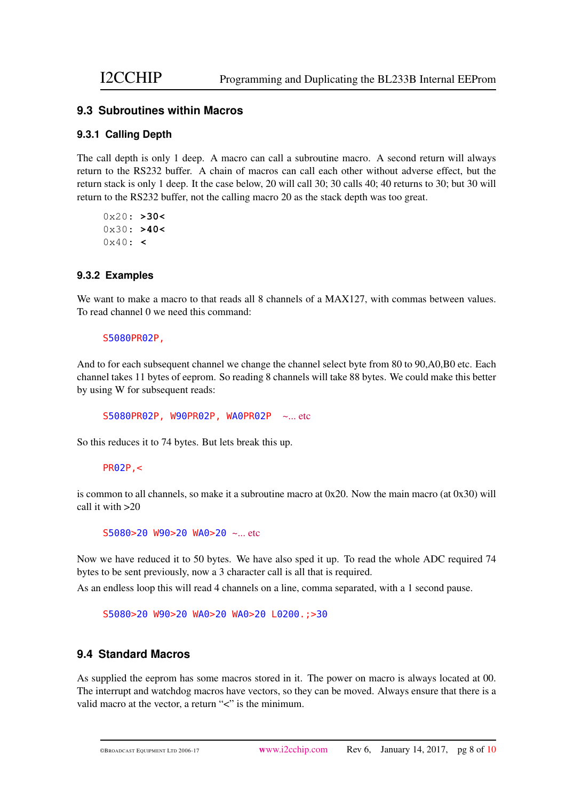#### <span id="page-7-0"></span>**9.3 Subroutines within Macros**

#### <span id="page-7-1"></span>**9.3.1 Calling Depth**

The call depth is only 1 deep. A macro can call a subroutine macro. A second return will always return to the RS232 buffer. A chain of macros can call each other without adverse effect, but the return stack is only 1 deep. It the case below, 20 will call 30; 30 calls 40; 40 returns to 30; but 30 will return to the RS232 buffer, not the calling macro 20 as the stack depth was too great.

0x20: **>30<** 0x30: **>40<** 0x40: **<**

#### <span id="page-7-2"></span>**9.3.2 Examples**

We want to make a macro to that reads all 8 channels of a MAX127, with commas between values. To read channel 0 we need this command:

#### S5080PR02P,

And to for each subsequent channel we change the channel select byte from 80 to 90,A0,B0 etc. Each channel takes 11 bytes of eeprom. So reading 8 channels will take 88 bytes. We could make this better by using W for subsequent reads:

S5080PR02P, W90PR02P, WA0PR02P ~... etc

So this reduces it to 74 bytes. But lets break this up.

#### PR02P,<

is common to all channels, so make it a subroutine macro at  $0x20$ . Now the main macro (at  $0x30$ ) will call it with >20

S5080>20 W90>20 WA0>20 ~... etc

Now we have reduced it to 50 bytes. We have also sped it up. To read the whole ADC required 74 bytes to be sent previously, now a 3 character call is all that is required.

As an endless loop this will read 4 channels on a line, comma separated, with a 1 second pause.

S5080>20 W90>20 WA0>20 WA0>20 L0200.;>30

#### <span id="page-7-3"></span>**9.4 Standard Macros**

As supplied the eeprom has some macros stored in it. The power on macro is always located at 00. The interrupt and watchdog macros have vectors, so they can be moved. Always ensure that there is a valid macro at the vector, a return "<" is the minimum.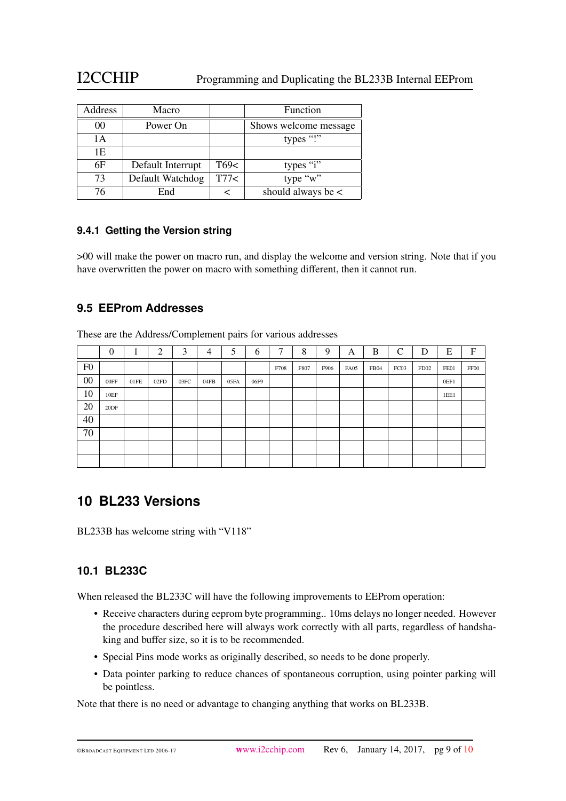## I2CCHIP Programming and Duplicating the BL233B Internal EEProm

| Address        | Macro             |      | Function               |
|----------------|-------------------|------|------------------------|
| 0 <sup>0</sup> | Power On          |      | Shows welcome message  |
| 1 A            |                   |      | types "!"              |
| 1Ε             |                   |      |                        |
| 6F             | Default Interrupt | T69< | types "i"              |
| 73             | Default Watchdog  | T77< | type "w"               |
| 76             | End               |      | should always be $\lt$ |

#### <span id="page-8-0"></span>**9.4.1 Getting the Version string**

>00 will make the power on macro run, and display the welcome and version string. Note that if you have overwritten the power on macro with something different, then it cannot run.

#### <span id="page-8-1"></span>**9.5 EEProm Addresses**

These are the Address/Complement pairs for various addresses

|                | $\boldsymbol{0}$ | ٠<br>л. | ↑    | 3    | 4    | 5    | 6    | 7    | 8    | 9    | A    | B           | $\sqrt{ }$ | D    | E    | $\boldsymbol{\mathrm{F}}$ |
|----------------|------------------|---------|------|------|------|------|------|------|------|------|------|-------------|------------|------|------|---------------------------|
| F <sub>0</sub> |                  |         |      |      |      |      |      | F708 | F807 | F906 | FA05 | <b>FB04</b> | FC03       | FD02 | FE01 | FF00                      |
| $00\,$         | 00FF             | 01FE    | 02FD | 03FC | 04FB | 05FA | 06F9 |      |      |      |      |             |            |      | 0EF1 |                           |
| 10             | 10EF             |         |      |      |      |      |      |      |      |      |      |             |            |      | 1EE1 |                           |
| 20             | 20DF             |         |      |      |      |      |      |      |      |      |      |             |            |      |      |                           |
| 40             |                  |         |      |      |      |      |      |      |      |      |      |             |            |      |      |                           |
| 70             |                  |         |      |      |      |      |      |      |      |      |      |             |            |      |      |                           |
|                |                  |         |      |      |      |      |      |      |      |      |      |             |            |      |      |                           |
|                |                  |         |      |      |      |      |      |      |      |      |      |             |            |      |      |                           |

## <span id="page-8-2"></span>**10 BL233 Versions**

BL233B has welcome string with "V118"

#### <span id="page-8-3"></span>**10.1 BL233C**

When released the BL233C will have the following improvements to EEProm operation:

- Receive characters during eeprom byte programming.. 10ms delays no longer needed. However the procedure described here will always work correctly with all parts, regardless of handshaking and buffer size, so it is to be recommended.
- Special Pins mode works as originally described, so needs to be done properly.
- Data pointer parking to reduce chances of spontaneous corruption, using pointer parking will be pointless.

Note that there is no need or advantage to changing anything that works on BL233B.